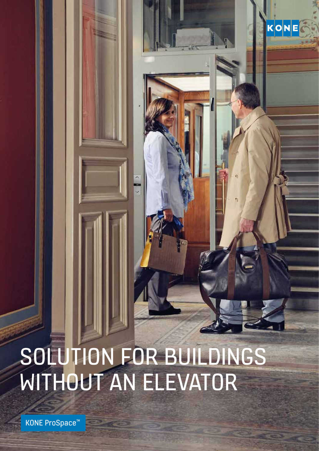# SOLUTION FOR BUILDINGS WITHOUT AN ELEVATOR

KONE

KONE ProSpace™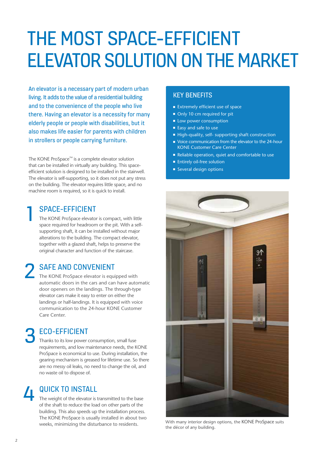## THE MOST SPACE-EFFICIENT ELEVATOR SOLUTION ON THE MARKET

An elevator is a necessary part of modern urban living. It adds to the value of a residential building and to the convenience of the people who live there. Having an elevator is a necessity for many elderly people or people with disabilities, but it also makes life easier for parents with children in strollers or people carrying furniture.

The KONE ProSpace™ is a complete elevator solution that can be installed in virtually any building. This spaceefficient solution is designed to be installed in the stairwell. The elevator is self-supporting, so it does not put any stress on the building. The elevator requires little space, and no machine room is required, so it is quick to install.

### SPACE-EFFICIENT

1

The KONE ProSpace elevator is compact, with little space required for headroom or the pit. With a selfsupporting shaft, it can be installed without major alterations to the building. The compact elevator, together with a glazed shaft, helps to preserve the original character and function of the staircase.

### SAFE AND CONVENIENT 2

The KONE ProSpace elevator is equipped with automatic doors in the cars and can have automatic door openers on the landings. The through-type elevator cars make it easy to enter on either the landings or half-landings. It is equipped with voice communication to the 24-hour KONE Customer Care Center.

### ECO-EFFICIENT 3

Thanks to its low power consumption, small fuse requirements, and low maintenance needs, the KONE ProSpace is economical to use. During installation, the gearing mechanism is greased for lifetime use. So there are no messy oil leaks, no need to change the oil, and no waste oil to dispose of.

### QUICK TO INSTALL 4

The weight of the elevator is transmitted to the base of the shaft to reduce the load on other parts of the building. This also speeds up the installation process. The KONE ProSpace is usually installed in about two weeks, minimizing the disturbance to residents.

#### KEY BENEFITS

- $\blacksquare$  Extremely efficient use of space
- Only 10 cm required for pit
- **Low power consumption**
- $\blacksquare$  Easy and safe to use
- High-quality, self- supporting shaft construction
- $\blacksquare$  Voice communication from the elevator to the 24-hour KONE Customer Care Center
- Reliable operation, quiet and comfortable to use
- **Entirely oil-free solution**
- **n** Several design options



With many interior design options, the KONE ProSpace suits the décor of any building.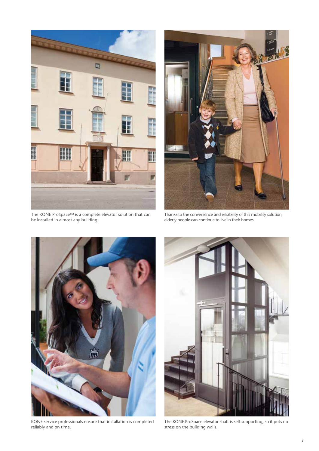

The KONE ProSpace™ is a complete elevator solution that can be installed in almost any building.



Thanks to the convenience and reliability of this mobility solution, elderly people can continue to live in their homes.



KONE service professionals ensure that installation is completed reliably and on time.



The KONE ProSpace elevator shaft is self-supporting, so it puts no stress on the building walls.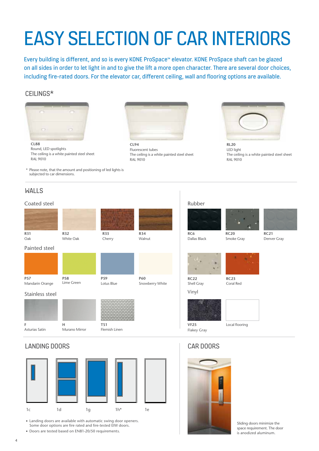# EASY SELECTION OF CAR INTERIORS

Every building is different, and so is every KONE ProSpace™ elevator. KONE ProSpace shaft can be glazed on all sides in order to let light in and to give the lift a more open character. There are several door choices, including fire-rated doors. For the elevator car, different ceiling, wall and flooring options are available.

#### CEILINGS\*



**CL88** Round, LED spotlights The ceiling is a white painted steel sheet RAL 9010

\* Please note, that the amount and positioning of led lights is subjected to car dimensions.

#### WALLS

#### Coated steel



#### LANDING DOORS



**Example 2** Landing doors are available with automatic swing door openers. Some door options are fire rated and fire-tested EIW doors.

Doors are tested based on EN81-20/50 requirements.



**CL94** Fluorescent tubes The ceiling is a white painted steel sheet RAL 9010



**RL20** LED light The ceiling is a white painted steel sheet RAL 9010



Rubber





**RC21** Denver Gray





Shell Gray Vinyl

**RC23** Coral Red



Flakey Gray

#### Local flooring

### CAR DOORS



Sliding doors minimize the space requirement. The door is anodized aluminum.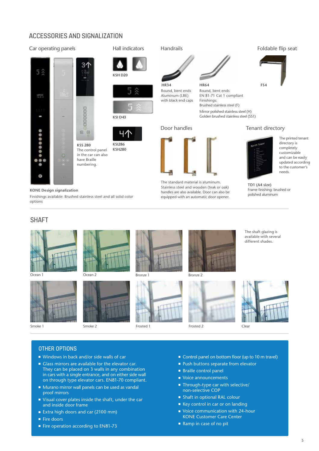#### ACCESSORIES AND SIGNALIZATION

#### Car operating panels Hall indicators









**KSI286 KSH280**

The control panel in the car can also have Braille numbering.

#### **KONE Design signalization**

Finishings available: Brushed stainless steel and all solid color options









Smoke 1 Smoke 2









Frosted 1 Frosted 2 Clear







OTHER OPTIONS

- Windows in back and/or side walls of car
- **Glass mirrors are available for the elevator car.** They can be placed on 3 walls in any combination in cars with a single entrance, and on either side wall on through type elevator cars. EN81-70 compliant.
- Murano mirror wall panels can be used as vandal proof mirrors
- $\blacksquare$  Visual cover plates inside the shaft, under the car and inside door frame
- Extra high doors and car (2100 mm)
- Fire doors
- Fire operation according to EN81-73
- Control panel on bottom floor (up to 10 m travel)
- Push buttons separate from elevator
- **Braille control panel**
- Voice announcements
- $\blacksquare$  Through-type car with selective/ non-selective COP
- Shaft in optional RAL colour
- Key control in car or on landing
- Voice communication with 24-hour KONE Customer Care Center
- Ramp in case of no pit

#### Foldable flip seat





- The printed tenant directory is completely customizable and can be easily updated according to the customer's needs.
- **TD1 (A4 size)** Frame finishing: brushed or polished aluminum
- The shaft glazing is available with several different shades.

5



The standard material is aluminum. Stainless steel and wooden (teak or oak) handles are also available. Door can also be equipped with an automatic door opener.

Door handles

Round, bent ends Aluminum (LBE) with black end caps

Handrails

**HR34 HR64**



Round, bent ends EN 81-71 Cat 1 compliant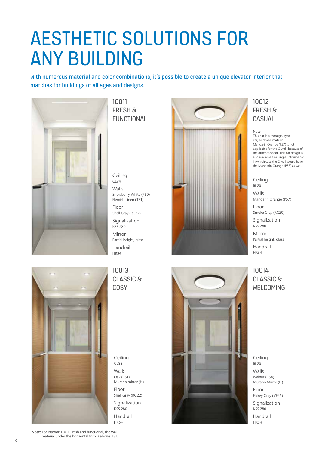### AESTHETIC SOLUTIONS FOR ANY BUILDING

With numerous material and color combinations, it's possible to create a unique elevator interior that matches for buildings of all ages and designs.



10011 FRESH & FUNCTIONAL

Ceiling CL94 Walls Snowberry White (P60) Flemish Linen (TS1) Floor Shell Gray (RC22) Signalization KSS 280 Mirror Partial height, glass Handrail HR34

#### 10013 CLASSIC & **COSY**

Ceiling CL88 Walls Oak (R31) Murano mirror (H) Floor Shell Gray (RC22) Signalization

KSS 280 Handrail HR64



### 10012 FRESH & CASUAL

**Note:**  This car is a through-type car, and wall material Mandarin Orange (P57) is not applicable for the C-wall, because of the other car door. This car design is also available as a Single Entrance car, in which case the C wall would have the Mandarin Orange (P57) as well.

Ceiling RL20 Walls Mandarin Orange (P57)

Floor Smoke Gray (RC20)

Signalization KSS 280

Mirror Partial height, glass Handrail HR34

10014 CLASSIC & WELCOMING

Ceiling RL20 Walls Walnut (R34) Murano Mirror (H)

Floor Flakey Gray (VF25)

Signalization KSS 280 Handrail HR34



**Note**: For interior 11011 Fresh and functional, the wall material under the horizontal trim is always TS1.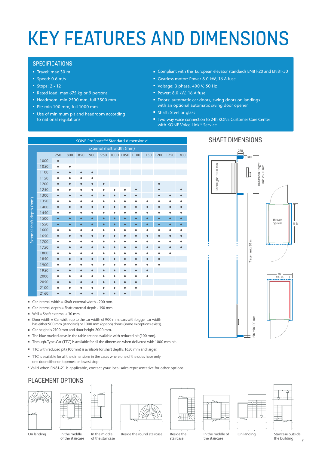# KEY FEATURES AND DIMENSIONS

#### **SPECIFICATIONS**

- <sup>n</sup> Travel: max 30 m
- $\rule{1em}{0.6}$  Speed: 0.6 m/s
- Stops:  $2 12$
- Rated load: max 675 kg or 9 persons
- <sup>n</sup> Headroom: min 2500 mm, full 3500 mm
- <sup>n</sup> Pit: min 100 mm, full 1000 mm
- Use of minimum pit and headroom according to national regulations
- Compliant with the European elevator standards EN81-20 and EN81-50
- Gearless motor: Power 8.0 kW, 16 A fuse
- Voltage: 3 phase, 400 V, 50 Hz
- Power: 8.0 kW, 16 A fuse
- **Doors: automatic car doors, swing doors on landings** with an optional automatic swing door opener
- Shaft: Steel or glass
- Two-way voice connection to 24h KONE Customer Care Center with KONE Voice Link™ Service

Car Height 2100 mm

Height: **Jar** 

mm 2100

| KONE ProSpace™ Standard dimensions* |      |           |           |           |           |           |           |           |           |                     |                |           |           |
|-------------------------------------|------|-----------|-----------|-----------|-----------|-----------|-----------|-----------|-----------|---------------------|----------------|-----------|-----------|
| External shaft width (mm)           |      |           |           |           |           |           |           |           |           |                     |                |           |           |
|                                     |      | 750       | 800       | 850       | 900       | 950       |           |           |           | 1000 1050 1100 1150 | 1200 1250 1300 |           |           |
| External shaft depth (mm)           | 1000 | $\bullet$ |           |           |           |           |           |           |           |                     |                |           |           |
|                                     | 1050 | ٠         | ٠         |           |           |           |           |           |           |                     |                |           |           |
|                                     | 1100 | $\bullet$ | $\bullet$ |           |           |           |           |           |           |                     |                |           |           |
|                                     | 1150 |           |           |           |           |           |           |           |           |                     |                |           |           |
|                                     | 1200 | $\bullet$ |           | $\bullet$ |           | $\bullet$ |           |           |           |                     | $\bullet$      |           |           |
|                                     | 1250 | ٠         |           |           |           |           |           |           |           |                     |                |           |           |
|                                     | 1300 | $\bullet$ | $\bullet$ | $\bullet$ | $\bullet$ | $\bullet$ | $\bullet$ | $\bullet$ |           |                     |                |           |           |
|                                     | 1350 | $\bullet$ |           |           |           |           |           |           |           |                     |                |           |           |
|                                     | 1400 | $\bullet$ | $\bullet$ | $\bullet$ | $\bullet$ | $\bullet$ | $\bullet$ | $\bullet$ | $\bullet$ | $\bullet$           | $\bullet$      | $\bullet$ |           |
|                                     | 1450 | ٠         |           | ٠         | ٠         | ۰         |           | ٠         | ٠         |                     | ٠              | ٠         |           |
|                                     | 1500 | $\bullet$ | $\bullet$ | $\bullet$ | $\bullet$ | $\bullet$ | $\bullet$ | $\bullet$ | $\bullet$ | $\bullet$           | $\bullet$      | $\bullet$ | $\bullet$ |
|                                     | 1550 | $\bullet$ | $\bullet$ | $\bullet$ | $\bullet$ | $\bullet$ | $\bullet$ | $\bullet$ | $\bullet$ | $\bullet$           | $\bullet$      | $\bullet$ | ō         |
|                                     | 1600 | $\bullet$ |           | $\bullet$ | ٠         | ۰         |           | ٠         | ٠         |                     | ٠              | ٠         |           |
|                                     | 1650 | $\bullet$ | ٠         | $\bullet$ | $\bullet$ | ٠         | $\bullet$ | $\bullet$ | $\bullet$ | $\bullet$           | $\bullet$      | $\bullet$ |           |
|                                     | 1700 |           |           |           |           |           |           |           |           |                     |                |           |           |
|                                     | 1750 | $\bullet$ | $\bullet$ | $\bullet$ | $\bullet$ | $\bullet$ | $\bullet$ | $\bullet$ | $\bullet$ | $\bullet$           | $\bullet$      |           |           |
|                                     | 1800 | ٠         |           |           |           |           |           |           |           |                     |                |           |           |
|                                     | 1850 | $\bullet$ |           | $\bullet$ | $\bullet$ | $\bullet$ | $\bullet$ | $\bullet$ | $\bullet$ |                     |                |           |           |
|                                     | 1900 | ٠         |           |           |           |           |           |           |           |                     |                |           |           |
|                                     | 1950 | $\bullet$ | $\bullet$ | $\bullet$ | $\bullet$ | $\bullet$ | $\bullet$ | $\bullet$ | $\bullet$ | $\bullet$           |                |           |           |
|                                     | 2000 |           |           |           |           |           |           |           |           |                     |                |           |           |
|                                     | 2050 | $\bullet$ |           |           | $\bullet$ | ٠         | $\bullet$ | $\bullet$ | $\bullet$ |                     |                |           |           |
|                                     | 2100 |           |           |           |           |           |           |           |           |                     |                |           |           |
|                                     | 2160 | ۰         |           |           |           |           |           | $\bullet$ |           |                     |                |           |           |

- $\blacksquare$  Car internal width = Shaft external width 200 mm.
- $\blacksquare$  Car internal depth = Shaft external depth 150 mm.
- $\blacksquare$  Well = Shaft external + 30 mm.
- Door width = Car width up to the car width of 900 mm, cars with bigger car width has either 900 mm (standard) or 1000 mm (option) doors (some exceptions exists).
- Car height is 2100 mm and door height 2000 mm.
- The blue marked areas in the table are not available with reduced pit (100 mm).
- <sup>n</sup> Through-Type-Car (TTC) is available for all the dimension when delivered with 1000 mm pit.
- TTC with reduced pit (100mm) is available for shaft depths 1650 mm and larger.
- TTC is available for all the dimensions in the cases where one of the sides have only one door either on topmost or lowest stop
- \* Valid when EN81-21 is applicable, contact your local sales representative for other options

#### PLACEMENT OPTIONS















BB/LL SW

Throughtype car

e s

Staircase outside the building

On landing In the middle of the staircase In the middle of the staircase

Beside the round staircase Beside the

staircase

In the middle of

the staircase



On landing



#### SHAFT DIMENSIONS

270  $T<sub>310</sub>$ 

> Headroom Height min 2500 mm

 $\mathbb{I}$ 

Headroom Height<br>min 2500 mm

7